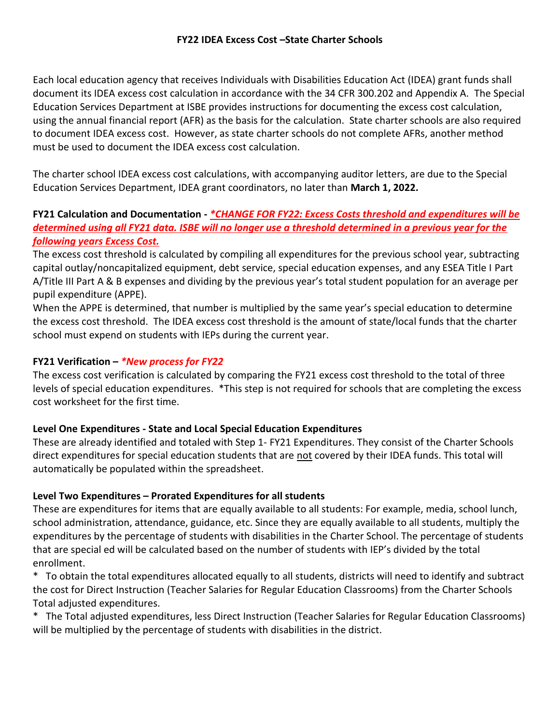Each local education agency that receives Individuals with Disabilities Education Act (IDEA) grant funds shall document its IDEA excess cost calculation in accordance with the 34 CFR 300.202 and Appendix A. The Special Education Services Department at ISBE provides instructions for documenting the excess cost calculation, using the annual financial report (AFR) as the basis for the calculation. State charter schools are also required to document IDEA excess cost. However, as state charter schools do not complete AFRs, another method must be used to document the IDEA excess cost calculation.

The charter school IDEA excess cost calculations, with accompanying auditor letters, are due to the Special Education Services Department, IDEA grant coordinators, no later than **March 1, 2022.**

### **FY21 Calculation and Documentation -** *\*CHANGE FOR FY22: Excess Costs threshold and expenditures will be determined using all FY21 data. ISBE will no longer use a threshold determined in a previous year for the following years Excess Cost.*

The excess cost threshold is calculated by compiling all expenditures for the previous school year, subtracting capital outlay/noncapitalized equipment, debt service, special education expenses, and any ESEA Title I Part A/Title III Part A & B expenses and dividing by the previous year's total student population for an average per pupil expenditure (APPE).

When the APPE is determined, that number is multiplied by the same year's special education to determine the excess cost threshold. The IDEA excess cost threshold is the amount of state/local funds that the charter school must expend on students with IEPs during the current year.

# **FY21 Verification –** *\*New process for FY22*

The excess cost verification is calculated by comparing the FY21 excess cost threshold to the total of three levels of special education expenditures. \*This step is not required for schools that are completing the excess cost worksheet for the first time.

## **Level One Expenditures - State and Local Special Education Expenditures**

These are already identified and totaled with Step 1- FY21 Expenditures. They consist of the Charter Schools direct expenditures for special education students that are not covered by their IDEA funds. This total will automatically be populated within the spreadsheet.

## **Level Two Expenditures – Prorated Expenditures for all students**

These are expenditures for items that are equally available to all students: For example, media, school lunch, school administration, attendance, guidance, etc. Since they are equally available to all students, multiply the expenditures by the percentage of students with disabilities in the Charter School. The percentage of students that are special ed will be calculated based on the number of students with IEP's divided by the total enrollment.

\* To obtain the total expenditures allocated equally to all students, districts will need to identify and subtract the cost for Direct Instruction (Teacher Salaries for Regular Education Classrooms) from the Charter Schools Total adjusted expenditures.

\* The Total adjusted expenditures, less Direct Instruction (Teacher Salaries for Regular Education Classrooms) will be multiplied by the percentage of students with disabilities in the district.